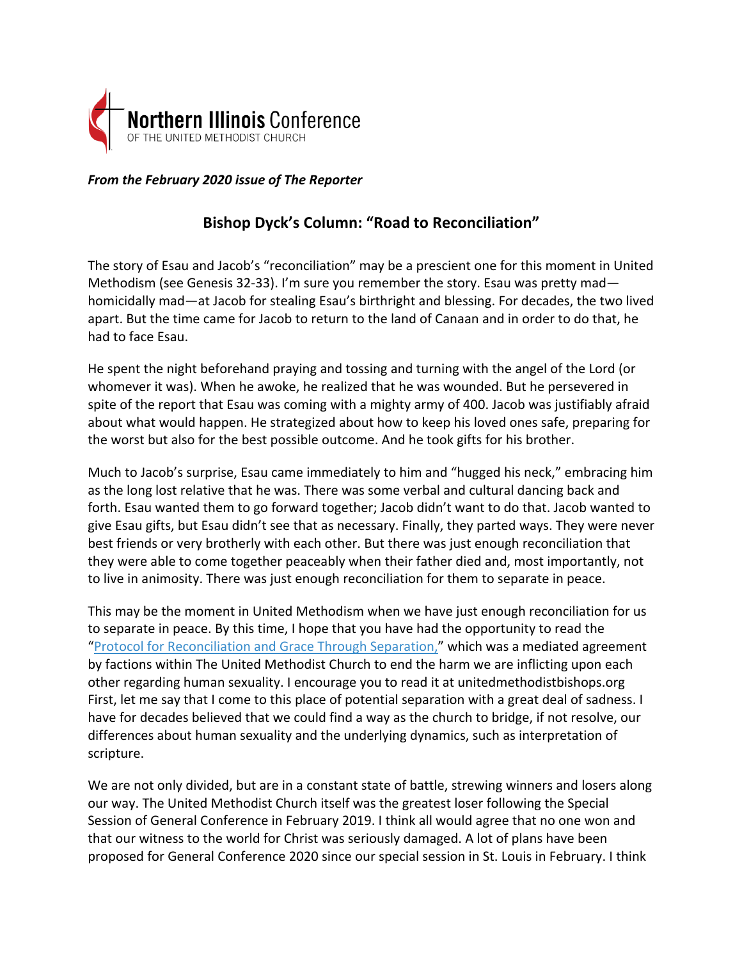

*From the February 2020 issue of The Reporter*

## **Bishop Dyck's Column: "Road to Reconciliation"**

The story of Esau and Jacob's "reconciliation" may be a prescient one for this moment in United Methodism (see Genesis 32-33). I'm sure you remember the story. Esau was pretty mad homicidally mad—at Jacob for stealing Esau's birthright and blessing. For decades, the two lived apart. But the time came for Jacob to return to the land of Canaan and in order to do that, he had to face Esau.

He spent the night beforehand praying and tossing and turning with the angel of the Lord (or whomever it was). When he awoke, he realized that he was wounded. But he persevered in spite of the report that Esau was coming with a mighty army of 400. Jacob was justifiably afraid about what would happen. He strategized about how to keep his loved ones safe, preparing for the worst but also for the best possible outcome. And he took gifts for his brother.

Much to Jacob's surprise, Esau came immediately to him and "hugged his neck," embracing him as the long lost relative that he was. There was some verbal and cultural dancing back and forth. Esau wanted them to go forward together; Jacob didn't want to do that. Jacob wanted to give Esau gifts, but Esau didn't see that as necessary. Finally, they parted ways. They were never best friends or very brotherly with each other. But there was just enough reconciliation that they were able to come together peaceably when their father died and, most importantly, not to live in animosity. There was just enough reconciliation for them to separate in peace.

This may be the moment in United Methodism when we have just enough reconciliation for us to separate in peace. By this time, I hope that you have had the opportunity to read the ["Protocol for Reconciliation and Grace Through Separation,"](https://www.umcnic.org/media/files/General%20Conference%202020/signed_umc_mediation_protocoal_statement_-2020.pdf) which was a mediated agreement by factions within The United Methodist Church to end the harm we are inflicting upon each other regarding human sexuality. I encourage you to read it at unitedmethodistbishops.org First, let me say that I come to this place of potential separation with a great deal of sadness. I have for decades believed that we could find a way as the church to bridge, if not resolve, our differences about human sexuality and the underlying dynamics, such as interpretation of scripture.

We are not only divided, but are in a constant state of battle, strewing winners and losers along our way. The United Methodist Church itself was the greatest loser following the Special Session of General Conference in February 2019. I think all would agree that no one won and that our witness to the world for Christ was seriously damaged. A lot of plans have been proposed for General Conference 2020 since our special session in St. Louis in February. I think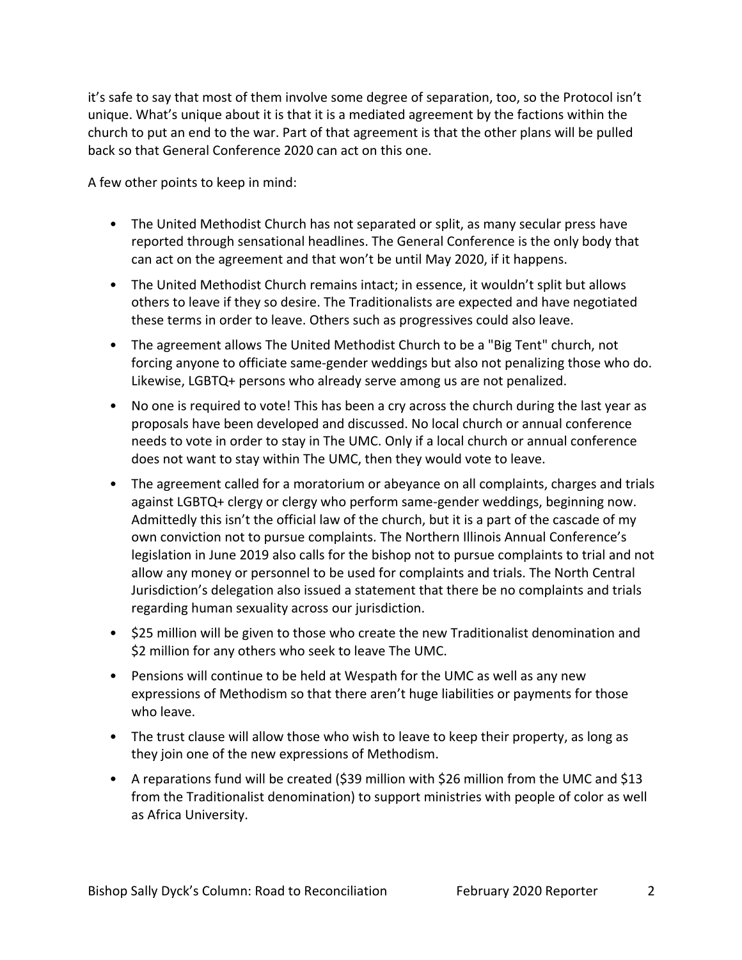it's safe to say that most of them involve some degree of separation, too, so the Protocol isn't unique. What's unique about it is that it is a mediated agreement by the factions within the church to put an end to the war. Part of that agreement is that the other plans will be pulled back so that General Conference 2020 can act on this one.

A few other points to keep in mind:

- The United Methodist Church has not separated or split, as many secular press have reported through sensational headlines. The General Conference is the only body that can act on the agreement and that won't be until May 2020, if it happens.
- The United Methodist Church remains intact; in essence, it wouldn't split but allows others to leave if they so desire. The Traditionalists are expected and have negotiated these terms in order to leave. Others such as progressives could also leave.
- The agreement allows The United Methodist Church to be a "Big Tent" church, not forcing anyone to officiate same-gender weddings but also not penalizing those who do. Likewise, LGBTQ+ persons who already serve among us are not penalized.
- No one is required to vote! This has been a cry across the church during the last year as proposals have been developed and discussed. No local church or annual conference needs to vote in order to stay in The UMC. Only if a local church or annual conference does not want to stay within The UMC, then they would vote to leave.
- The agreement called for a moratorium or abeyance on all complaints, charges and trials against LGBTQ+ clergy or clergy who perform same-gender weddings, beginning now. Admittedly this isn't the official law of the church, but it is a part of the cascade of my own conviction not to pursue complaints. The Northern Illinois Annual Conference's legislation in June 2019 also calls for the bishop not to pursue complaints to trial and not allow any money or personnel to be used for complaints and trials. The North Central Jurisdiction's delegation also issued a statement that there be no complaints and trials regarding human sexuality across our jurisdiction.
- \$25 million will be given to those who create the new Traditionalist denomination and \$2 million for any others who seek to leave The UMC.
- Pensions will continue to be held at Wespath for the UMC as well as any new expressions of Methodism so that there aren't huge liabilities or payments for those who leave.
- The trust clause will allow those who wish to leave to keep their property, as long as they join one of the new expressions of Methodism.
- A reparations fund will be created (\$39 million with \$26 million from the UMC and \$13 from the Traditionalist denomination) to support ministries with people of color as well as Africa University.